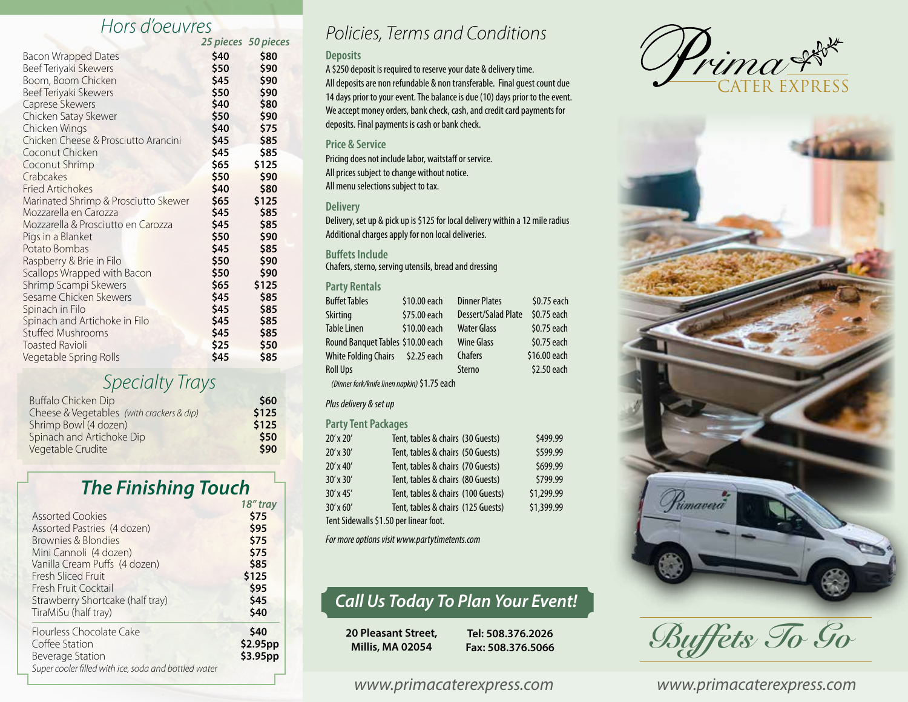# *Hors d'oeuvres*

|                                      |      | 25 pieces 50 pieces |
|--------------------------------------|------|---------------------|
| <b>Bacon Wrapped Dates</b>           | \$40 | \$80                |
| Beef Teriyaki Skewers                | \$50 | \$90                |
| Boom, Boom Chicken                   | \$45 | \$90                |
| Beef Teriyaki Skewers                | \$50 | \$90                |
| Caprese Skewers                      | \$40 | \$80                |
| Chicken Satay Skewer                 | \$50 | \$90                |
| Chicken Wings                        | \$40 | \$75                |
| Chicken Cheese & Prosciutto Arancini | \$45 | \$85                |
| Coconut Chicken                      | \$45 | \$85                |
| Coconut Shrimp                       | \$65 | \$125               |
| Crabcakes                            | \$50 | \$90                |
| <b>Fried Artichokes</b>              | \$40 | \$80                |
| Marinated Shrimp & Prosciutto Skewer | \$65 | \$125               |
| Mozzarella en Carozza                | \$45 | \$85                |
| Mozzarella & Prosciutto en Carozza   | \$45 | \$85                |
| Pigs in a Blanket                    | \$50 | \$90                |
| Potato Bombas                        | \$45 | \$85                |
| Raspberry & Brie in Filo             | \$50 | \$90                |
| Scallops Wrapped with Bacon          | \$50 | \$90                |
| Shrimp Scampi Skewers                | \$65 | \$125               |
| Sesame Chicken Skewers               | \$45 | \$85                |
| Spinach in Filo                      | \$45 | \$85                |
| Spinach and Artichoke in Filo        | \$45 | \$85                |
| <b>Stuffed Mushrooms</b>             | \$45 | \$85                |
| <b>Toasted Ravioli</b>               | \$25 | \$50                |
| Vegetable Spring Rolls               | \$45 | \$85                |

### *Specialty Trays*

| Buffalo Chicken Dip                       | \$60  |
|-------------------------------------------|-------|
| Cheese & Vegetables (with crackers & dip) | \$125 |
| Shrimp Bowl (4 dozen)                     | \$125 |
| Spinach and Artichoke Dip                 | \$50  |
| Vegetable Crudite                         | \$90  |

# **The Finishing Touch**

| TO UUV   |
|----------|
| \$75     |
| \$95     |
| \$75     |
| \$75     |
| \$85     |
| \$125    |
| \$95     |
| \$45     |
| \$40     |
| \$40     |
| \$2.95pp |
| \$3.95pp |
|          |
|          |

## *Policies, Terms and Conditions*

#### **Deposits**

A \$250 deposit is required to reserve your date & delivery time. All deposits are non refundable & non transferable. Final guest count due 14 days prior to your event. The balance is due (10) days prior to the event. We accept money orders, bank check, cash, and credit card payments for deposits. Final payments is cash or bank check.

### **Price & Service**

Pricing does not include labor, waitstaff or service. All prices subject to change without notice. All menu selections subject to tax.

#### **Delivery**

Delivery, set up & pick up is \$125 for local delivery within a 12 mile radius Additional charges apply for non local deliveries.

#### **Buffets Include**

Chafers, sterno, serving utensils, bread and dressing

#### **Party Rentals**

| <b>Buffet Tables</b>                         | \$10.00 each | <b>Dinner Plates</b> | \$0.75 each  |  |  |  |
|----------------------------------------------|--------------|----------------------|--------------|--|--|--|
| <b>Skirting</b>                              | \$75.00 each | Dessert/Salad Plate  | \$0.75 each  |  |  |  |
| <b>Table Linen</b>                           | \$10.00 each | <b>Water Glass</b>   | \$0.75 each  |  |  |  |
| Round Banquet Tables \$10.00 each            |              | <b>Wine Glass</b>    | \$0.75 each  |  |  |  |
| White Folding Chairs \$2.25 each             |              | <b>Chafers</b>       | \$16.00 each |  |  |  |
| <b>Roll Ups</b>                              |              | Sterno               | \$2.50 each  |  |  |  |
| (Dinner fork/knife linen napkin) \$1.75 each |              |                      |              |  |  |  |

#### *Plus delivery & set up*

#### **Party Tent Packages**

| 20' x 20'                              | Tent, tables & chairs (30 Guests)  |  | \$499.99   |  |
|----------------------------------------|------------------------------------|--|------------|--|
| $20'$ x $30'$                          | Tent, tables & chairs (50 Guests)  |  | \$599.99   |  |
| $20'$ x 40'                            | Tent, tables & chairs (70 Guests)  |  | \$699.99   |  |
| $30'$ x $30'$                          | Tent, tables & chairs (80 Guests)  |  | \$799.99   |  |
| $30'$ x 45'                            | Tent, tables & chairs (100 Guests) |  | \$1,299.99 |  |
| $30'$ x 60'                            | Tent, tables & chairs (125 Guests) |  | \$1,399.99 |  |
| Tent Sidewalls \$1.50 per linear foot. |                                    |  |            |  |

*For more options visit www.partytimetents.com*

### *Call Us Today To Plan Your Event!*

**20 Pleasant Street, Millis, MA 02054**

**Tel: 508.376.2026 Fax: 508.376.5066**





*Buffets To Go*

*www.primacaterexpress.com www.primacaterexpress.com*